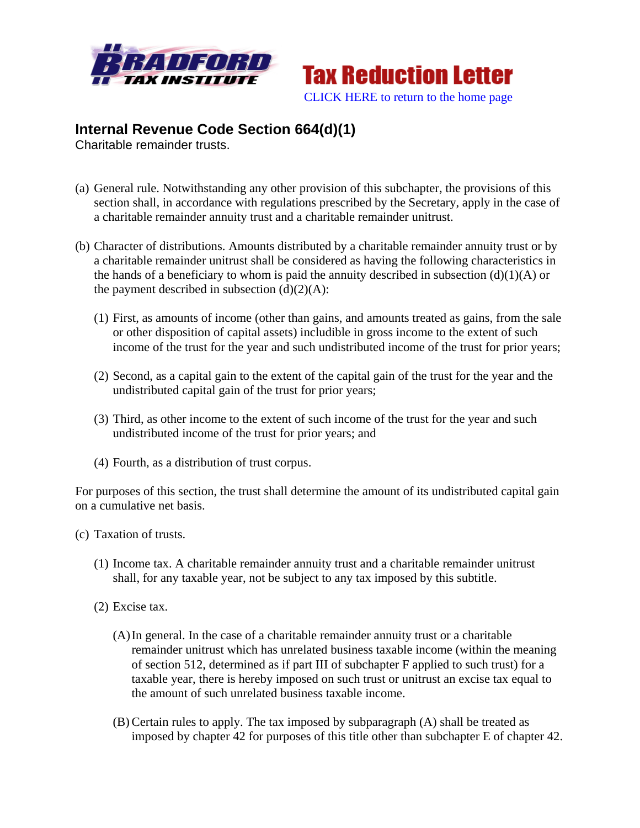



## **Internal Revenue Code Section 664(d)(1)**

Charitable remainder trusts.

- (a) General rule. Notwithstanding any other provision of this subchapter, the provisions of this section shall, in accordance with regulations prescribed by the Secretary, apply in the case of a charitable remainder annuity trust and a charitable remainder unitrust.
- (b) Character of distributions. Amounts distributed by a charitable remainder annuity trust or by a charitable remainder unitrust shall be considered as having the following characteristics in the hands of a beneficiary to whom is paid the annuity described in subsection  $(d)(1)(A)$  or the payment described in subsection  $(d)(2)(A)$ :
	- (1) First, as amounts of income (other than gains, and amounts treated as gains, from the sale or other disposition of capital assets) includible in gross income to the extent of such income of the trust for the year and such undistributed income of the trust for prior years;
	- (2) Second, as a capital gain to the extent of the capital gain of the trust for the year and the undistributed capital gain of the trust for prior years;
	- (3) Third, as other income to the extent of such income of the trust for the year and such undistributed income of the trust for prior years; and
	- (4) Fourth, as a distribution of trust corpus.

For purposes of this section, the trust shall determine the amount of its undistributed capital gain on a cumulative net basis.

- (c) Taxation of trusts.
	- (1) Income tax. A charitable remainder annuity trust and a charitable remainder unitrust shall, for any taxable year, not be subject to any tax imposed by this subtitle.
	- (2) Excise tax.
		- (A)In general. In the case of a charitable remainder annuity trust or a charitable remainder unitrust which has unrelated business taxable income (within the meaning of section 512, determined as if part III of subchapter F applied to such trust) for a taxable year, there is hereby imposed on such trust or unitrust an excise tax equal to the amount of such unrelated business taxable income.
		- (B) Certain rules to apply. The tax imposed by subparagraph (A) shall be treated as imposed by chapter 42 for purposes of this title other than subchapter E of chapter 42.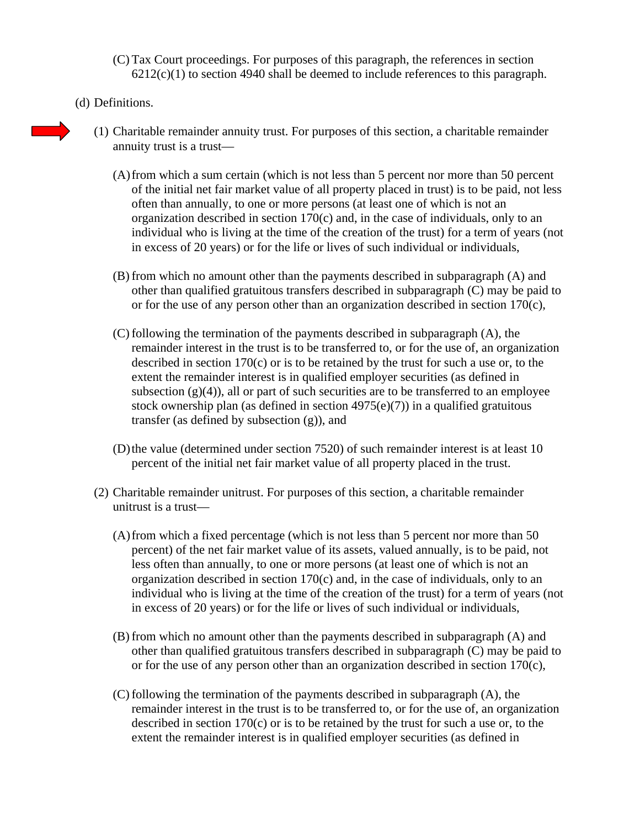- (C) Tax Court proceedings. For purposes of this paragraph, the references in section  $6212(c)(1)$  to section 4940 shall be deemed to include references to this paragraph.
- (d) Definitions.
	- (1) Charitable remainder annuity trust. For purposes of this section, a charitable remainder annuity trust is a trust—
		- (A)from which a sum certain (which is not less than 5 percent nor more than 50 percent of the initial net fair market value of all property placed in trust) is to be paid, not less often than annually, to one or more persons (at least one of which is not an organization described in section 170(c) and, in the case of individuals, only to an individual who is living at the time of the creation of the trust) for a term of years (not in excess of 20 years) or for the life or lives of such individual or individuals,
		- (B) from which no amount other than the payments described in subparagraph (A) and other than qualified gratuitous transfers described in subparagraph (C) may be paid to or for the use of any person other than an organization described in section 170(c),
		- (C) following the termination of the payments described in subparagraph (A), the remainder interest in the trust is to be transferred to, or for the use of, an organization described in section 170(c) or is to be retained by the trust for such a use or, to the extent the remainder interest is in qualified employer securities (as defined in subsection  $(g)(4)$ , all or part of such securities are to be transferred to an employee stock ownership plan (as defined in section  $4975(e)(7)$ ) in a qualified gratuitous transfer (as defined by subsection (g)), and
		- (D)the value (determined under section 7520) of such remainder interest is at least 10 percent of the initial net fair market value of all property placed in the trust.
	- (2) Charitable remainder unitrust. For purposes of this section, a charitable remainder unitrust is a trust—
		- (A)from which a fixed percentage (which is not less than 5 percent nor more than 50 percent) of the net fair market value of its assets, valued annually, is to be paid, not less often than annually, to one or more persons (at least one of which is not an organization described in section 170(c) and, in the case of individuals, only to an individual who is living at the time of the creation of the trust) for a term of years (not in excess of 20 years) or for the life or lives of such individual or individuals,
		- (B) from which no amount other than the payments described in subparagraph (A) and other than qualified gratuitous transfers described in subparagraph (C) may be paid to or for the use of any person other than an organization described in section  $170(c)$ ,
		- (C) following the termination of the payments described in subparagraph (A), the remainder interest in the trust is to be transferred to, or for the use of, an organization described in section 170(c) or is to be retained by the trust for such a use or, to the extent the remainder interest is in qualified employer securities (as defined in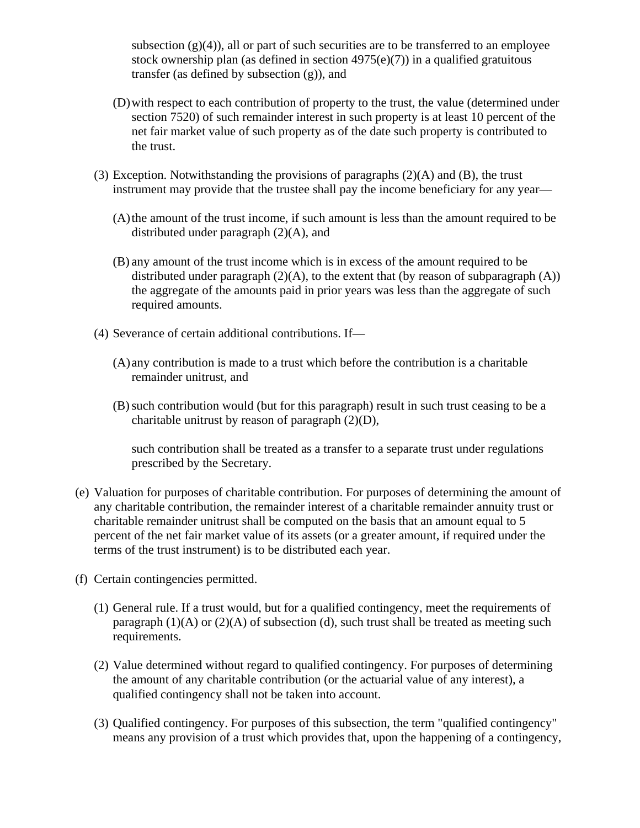subsection  $(g)(4)$ , all or part of such securities are to be transferred to an employee stock ownership plan (as defined in section  $4975(e)(7)$ ) in a qualified gratuitous transfer (as defined by subsection (g)), and

- (D)with respect to each contribution of property to the trust, the value (determined under section 7520) of such remainder interest in such property is at least 10 percent of the net fair market value of such property as of the date such property is contributed to the trust.
- (3) Exception. Notwithstanding the provisions of paragraphs  $(2)(A)$  and  $(B)$ , the trust instrument may provide that the trustee shall pay the income beneficiary for any year—
	- (A)the amount of the trust income, if such amount is less than the amount required to be distributed under paragraph (2)(A), and
	- (B) any amount of the trust income which is in excess of the amount required to be distributed under paragraph  $(2)(A)$ , to the extent that (by reason of subparagraph  $(A)$ ) the aggregate of the amounts paid in prior years was less than the aggregate of such required amounts.
- (4) Severance of certain additional contributions. If—
	- (A) any contribution is made to a trust which before the contribution is a charitable remainder unitrust, and
	- (B)such contribution would (but for this paragraph) result in such trust ceasing to be a charitable unitrust by reason of paragraph (2)(D),

such contribution shall be treated as a transfer to a separate trust under regulations prescribed by the Secretary.

- (e) Valuation for purposes of charitable contribution. For purposes of determining the amount of any charitable contribution, the remainder interest of a charitable remainder annuity trust or charitable remainder unitrust shall be computed on the basis that an amount equal to 5 percent of the net fair market value of its assets (or a greater amount, if required under the terms of the trust instrument) is to be distributed each year.
- (f) Certain contingencies permitted.
	- (1) General rule. If a trust would, but for a qualified contingency, meet the requirements of paragraph  $(1)(A)$  or  $(2)(A)$  of subsection (d), such trust shall be treated as meeting such requirements.
	- (2) Value determined without regard to qualified contingency. For purposes of determining the amount of any charitable contribution (or the actuarial value of any interest), a qualified contingency shall not be taken into account.
	- (3) Qualified contingency. For purposes of this subsection, the term "qualified contingency" means any provision of a trust which provides that, upon the happening of a contingency,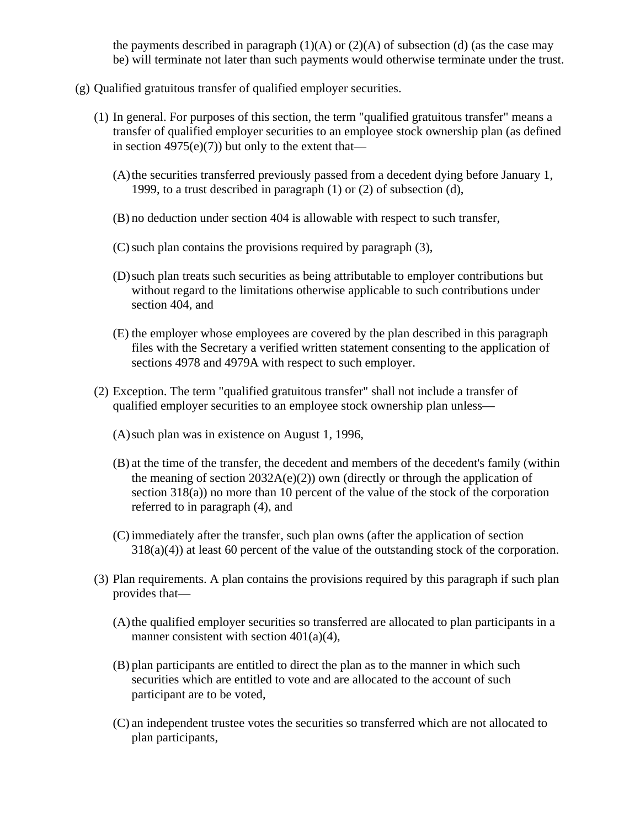the payments described in paragraph  $(1)(A)$  or  $(2)(A)$  of subsection (d) (as the case may be) will terminate not later than such payments would otherwise terminate under the trust.

- (g) Qualified gratuitous transfer of qualified employer securities.
	- (1) In general. For purposes of this section, the term "qualified gratuitous transfer" means a transfer of qualified employer securities to an employee stock ownership plan (as defined in section  $4975(e)(7)$  but only to the extent that—
		- (A)the securities transferred previously passed from a decedent dying before January 1, 1999, to a trust described in paragraph (1) or (2) of subsection (d),
		- (B) no deduction under section 404 is allowable with respect to such transfer,
		- $(C)$  such plan contains the provisions required by paragraph  $(3)$ ,
		- (D)such plan treats such securities as being attributable to employer contributions but without regard to the limitations otherwise applicable to such contributions under section 404, and
		- (E) the employer whose employees are covered by the plan described in this paragraph files with the Secretary a verified written statement consenting to the application of sections 4978 and 4979A with respect to such employer.
	- (2) Exception. The term "qualified gratuitous transfer" shall not include a transfer of qualified employer securities to an employee stock ownership plan unless—
		- (A)such plan was in existence on August 1, 1996,
		- (B) at the time of the transfer, the decedent and members of the decedent's family (within the meaning of section  $2032A(e)(2)$  own (directly or through the application of section 318(a)) no more than 10 percent of the value of the stock of the corporation referred to in paragraph (4), and
		- (C) immediately after the transfer, such plan owns (after the application of section  $318(a)(4)$ ) at least 60 percent of the value of the outstanding stock of the corporation.
	- (3) Plan requirements. A plan contains the provisions required by this paragraph if such plan provides that—
		- (A)the qualified employer securities so transferred are allocated to plan participants in a manner consistent with section  $401(a)(4)$ ,
		- (B) plan participants are entitled to direct the plan as to the manner in which such securities which are entitled to vote and are allocated to the account of such participant are to be voted,
		- (C) an independent trustee votes the securities so transferred which are not allocated to plan participants,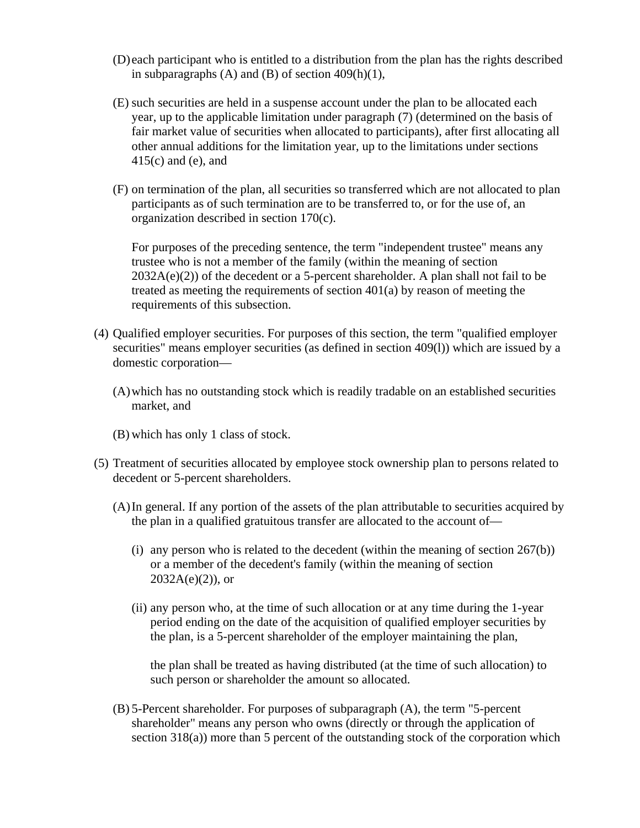- (D) each participant who is entitled to a distribution from the plan has the rights described in subparagraphs  $(A)$  and  $(B)$  of section 409 $(h)(1)$ ,
- (E) such securities are held in a suspense account under the plan to be allocated each year, up to the applicable limitation under paragraph (7) (determined on the basis of fair market value of securities when allocated to participants), after first allocating all other annual additions for the limitation year, up to the limitations under sections 415(c) and (e), and
- (F) on termination of the plan, all securities so transferred which are not allocated to plan participants as of such termination are to be transferred to, or for the use of, an organization described in section 170(c).

For purposes of the preceding sentence, the term "independent trustee" means any trustee who is not a member of the family (within the meaning of section  $2032A(e)(2)$  of the decedent or a 5-percent shareholder. A plan shall not fail to be treated as meeting the requirements of section 401(a) by reason of meeting the requirements of this subsection.

- (4) Qualified employer securities. For purposes of this section, the term "qualified employer securities" means employer securities (as defined in section 409(l)) which are issued by a domestic corporation—
	- (A)which has no outstanding stock which is readily tradable on an established securities market, and
	- (B) which has only 1 class of stock.
- (5) Treatment of securities allocated by employee stock ownership plan to persons related to decedent or 5-percent shareholders.
	- (A)In general. If any portion of the assets of the plan attributable to securities acquired by the plan in a qualified gratuitous transfer are allocated to the account of—
		- (i) any person who is related to the decedent (within the meaning of section  $267(b)$ ) or a member of the decedent's family (within the meaning of section  $2032A(e)(2)$ , or
		- (ii) any person who, at the time of such allocation or at any time during the 1-year period ending on the date of the acquisition of qualified employer securities by the plan, is a 5-percent shareholder of the employer maintaining the plan,

the plan shall be treated as having distributed (at the time of such allocation) to such person or shareholder the amount so allocated.

(B) 5-Percent shareholder. For purposes of subparagraph (A), the term "5-percent shareholder" means any person who owns (directly or through the application of section 318(a)) more than 5 percent of the outstanding stock of the corporation which